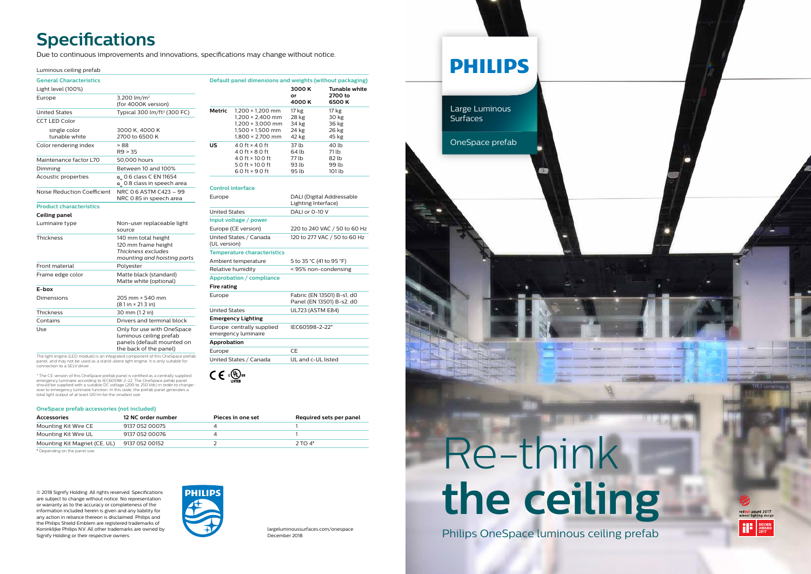| largeluminoussurfaces.com/onespace |
|------------------------------------|
| December 2018                      |

© 2018 Signify Holding. All rights reserved. Specifications are subject to change without notice. No representation or warranty as to the accuracy or completeness of the information included herein is given and any liability for any action in reliance thereon is disclaimed. Philips and the Philips Shield Emblem are registered trademarks of Koninklijke Philips N.V. All other trademarks are owned by Signify Holding or their respective owners.



panels (default mounted on the back of the panel)

The light engine (LED module) is an integrated component of this OneSpace prefab panel, and may not be used as a stand-alone light engine. It is only suitable for connection to a SELV driver.

| <b>General Characteristics</b> |                                                                  | Default panel dimensions and weights (without packaging) |                                                                                                                                  |                                                         |                      |
|--------------------------------|------------------------------------------------------------------|----------------------------------------------------------|----------------------------------------------------------------------------------------------------------------------------------|---------------------------------------------------------|----------------------|
| Light level (100%)             |                                                                  |                                                          |                                                                                                                                  | 3000 K                                                  | <b>Tunable white</b> |
| Europe                         | 3,200 $lm/m2$<br>(for 4000K version)                             |                                                          |                                                                                                                                  | or<br>4000 K                                            | 2700 to<br>6500K     |
| <b>United States</b>           | Typical 300 lm/ft <sup>2</sup> (300 FC)                          | Metric                                                   | $1,200 \times 1,200$ mm                                                                                                          | 17 kg                                                   | 17 kg                |
| <b>CCT LED Color</b>           |                                                                  |                                                          | $1,200 \times 2,400$ mm<br>$1,200 \times 3,000$ mm                                                                               | 28 kg<br>34 kg                                          | 30 kg<br>36 kg       |
| single color<br>tunable white  | 3000 K, 4000 K<br>2700 to 6500 K                                 |                                                          | $1,500 \times 1,500$ mm<br>$1,800 \times 2,700$ mm                                                                               | 24 kg<br>42 kg                                          | 26 kg<br>45 kg       |
| Color rendering index          | >88<br>R9 > 35                                                   | US                                                       | 4.0 ft $\times$ 4.0 ft<br>4.0 ft $\times$ 8.0 ft<br>4.0 ft $\times$ 10.0 ft<br>5.0 ft $\times$ 10.0 ft<br>6.0 ft $\times$ 9.0 ft | 37 lb<br>64 lb                                          | 40 lb<br>71 lb       |
| Maintenance factor L70         | 50,000 hours                                                     |                                                          |                                                                                                                                  | 77 lb                                                   | 82 lb                |
| Dimming                        | Between 10 and 100%                                              |                                                          |                                                                                                                                  | 93 lb<br>95 lb                                          | 99 lb<br>101 lb      |
| Acoustic properties            | a 0.6 class C EN 11654<br>a 0.8 class in speech area             |                                                          |                                                                                                                                  |                                                         |                      |
| Noise Reduction Coefficient    | NRC 0.6 ASTM C423 - 99<br>NRC 0.85 in speech area                | <b>Control interface</b><br>Europe                       |                                                                                                                                  | DALI (Digital Addressable                               |                      |
| <b>Product characteristics</b> |                                                                  |                                                          |                                                                                                                                  | Lighting Interface)                                     |                      |
| Ceiling panel                  |                                                                  | <b>United States</b>                                     |                                                                                                                                  | DALI or 0-10 V                                          |                      |
| Luminaire type                 | Non-user replaceable light<br>source                             | Input voltage / power<br>Europe (CE version)             |                                                                                                                                  | 220 to 240 VAC / 50 to 60 Hz                            |                      |
| Thickness                      | 140 mm total height<br>120 mm frame height<br>Thickness excludes | United States / Canada<br>(UL version)                   |                                                                                                                                  | 120 to 277 VAC / 50 to 60 Hz                            |                      |
|                                |                                                                  | <b>Temperature characteristics</b>                       |                                                                                                                                  |                                                         |                      |
| mounting and hoisting parts    |                                                                  |                                                          | Ambient temperature<br>5 to 35 °C (41 to 95 °F)                                                                                  |                                                         |                      |
| Front material                 | Polyester                                                        | Relative humidity                                        |                                                                                                                                  | < 95% non-condensing                                    |                      |
| Frame edge color               | Matte black (standard)<br>Matte white (optional)                 | <b>Approbation / compliance</b>                          |                                                                                                                                  |                                                         |                      |
| E-box                          |                                                                  | <b>Fire rating</b>                                       |                                                                                                                                  |                                                         |                      |
| Dimensions                     | 205 mm × 540 mm<br>$(8.1 in \times 21.3 in)$                     | Europe                                                   |                                                                                                                                  | Fabric (EN 13501) B-s1, d0<br>Panel (EN 13501) B-s2, d0 |                      |
| Thickness                      | 30 mm (1.2 in)                                                   |                                                          | <b>United States</b><br><b>UL723 (ASTM E84)</b>                                                                                  |                                                         |                      |
| Contains                       | Drivers and terminal block                                       |                                                          | <b>Emergency Lighting</b>                                                                                                        |                                                         |                      |
| Use                            | Only for use with OneSpace<br>luminous ceiling prefab            |                                                          | Europe: centrally supplied<br>emergency luminaire                                                                                | IEC60598-2-22*                                          |                      |

\* The CE version of this OneSpace prefab panel is certified as a centrally supplied emergency luminaire according to IEC60598-2-22. The OneSpace pefab panel should be supplied with a suitable DC voltage (200 to 250 Vdc) in order to change-over to emergency luminaire function. In this state, the prefab panel generates a total light output of at least 120 lm for the smallest size.

## **Specifications**

**Approbation**

 $C \in \mathbb{Q}$ us

Europe CE



United States / Canada UL and c-UL listed

Due to continuous improvements and innovations, specifications may change without notice.

#### Luminous ceiling prefab



#### **OneSpace prefab accessories (not included)**

| <b>Accessories</b>           | 12 NC order number | Pieces in one set | Required sets per panel |
|------------------------------|--------------------|-------------------|-------------------------|
| Mounting Kit Wire CE         | 9137 052 00075     |                   |                         |
| Mounting Kit Wire UL         | 9137 052 00076     |                   |                         |
| Mounting Kit Magnet (CE, UL) | 9137 052 00152     |                   | $2$ TO $4*$             |

\* Depending on the panel size.